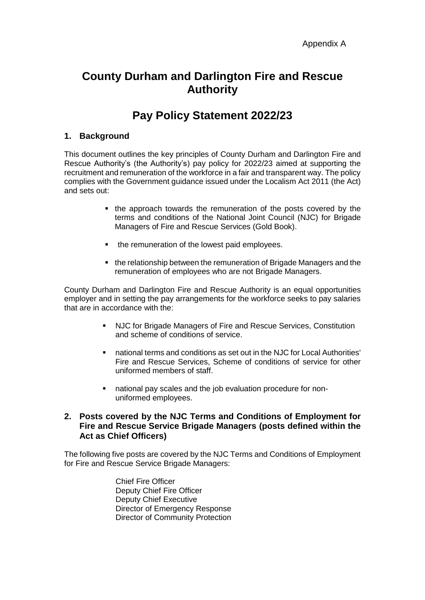# **County Durham and Darlington Fire and Rescue Authority**

# **Pay Policy Statement 2022/23**

## **1. Background**

This document outlines the key principles of County Durham and Darlington Fire and Rescue Authority's (the Authority's) pay policy for 2022/23 aimed at supporting the recruitment and remuneration of the workforce in a fair and transparent way. The policy complies with the Government guidance issued under the Localism Act 2011 (the Act) and sets out:

- the approach towards the remuneration of the posts covered by the terms and conditions of the National Joint Council (NJC) for Brigade Managers of Fire and Rescue Services (Gold Book).
- the remuneration of the lowest paid employees.
- the relationship between the remuneration of Brigade Managers and the remuneration of employees who are not Brigade Managers.

County Durham and Darlington Fire and Rescue Authority is an equal opportunities employer and in setting the pay arrangements for the workforce seeks to pay salaries that are in accordance with the:

- NJC for Brigade Managers of Fire and Rescue Services, Constitution and scheme of conditions of service.
- national terms and conditions as set out in the NJC for Local Authorities' Fire and Rescue Services, Scheme of conditions of service for other uniformed members of staff.
- national pay scales and the job evaluation procedure for nonuniformed employees.

## **2. Posts covered by the NJC Terms and Conditions of Employment for Fire and Rescue Service Brigade Managers (posts defined within the Act as Chief Officers)**

The following five posts are covered by the NJC Terms and Conditions of Employment for Fire and Rescue Service Brigade Managers:

> Chief Fire Officer Deputy Chief Fire Officer Deputy Chief Executive Director of Emergency Response Director of Community Protection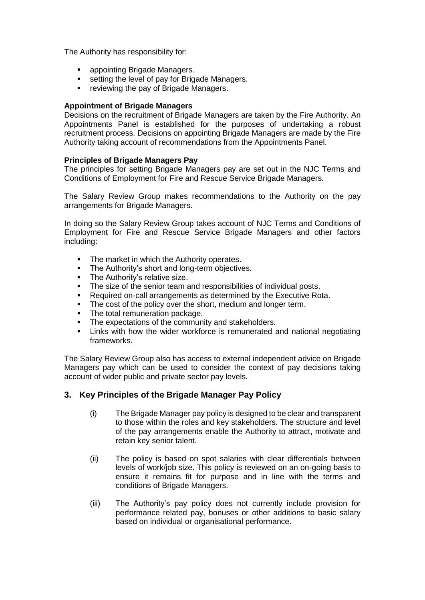The Authority has responsibility for:

- appointing Brigade Managers.
- **Example 1** setting the level of pay for Brigade Managers.
- **•** reviewing the pay of Brigade Managers.

#### **Appointment of Brigade Managers**

Decisions on the recruitment of Brigade Managers are taken by the Fire Authority. An Appointments Panel is established for the purposes of undertaking a robust recruitment process. Decisions on appointing Brigade Managers are made by the Fire Authority taking account of recommendations from the Appointments Panel.

### **Principles of Brigade Managers Pay**

The principles for setting Brigade Managers pay are set out in the NJC Terms and Conditions of Employment for Fire and Rescue Service Brigade Managers.

The Salary Review Group makes recommendations to the Authority on the pay arrangements for Brigade Managers.

In doing so the Salary Review Group takes account of NJC Terms and Conditions of Employment for Fire and Rescue Service Brigade Managers and other factors including:

- The market in which the Authority operates.
- The Authority's short and long-term objectives.
- The Authority's relative size.
- The size of the senior team and responsibilities of individual posts.
- Required on-call arrangements as determined by the Executive Rota.
- The cost of the policy over the short, medium and longer term.
- The total remuneration package.
- The expectations of the community and stakeholders.
- Links with how the wider workforce is remunerated and national negotiating frameworks.

The Salary Review Group also has access to external independent advice on Brigade Managers pay which can be used to consider the context of pay decisions taking account of wider public and private sector pay levels.

## **3. Key Principles of the Brigade Manager Pay Policy**

- (i) The Brigade Manager pay policy is designed to be clear and transparent to those within the roles and key stakeholders. The structure and level of the pay arrangements enable the Authority to attract, motivate and retain key senior talent.
- (ii) The policy is based on spot salaries with clear differentials between levels of work/job size. This policy is reviewed on an on-going basis to ensure it remains fit for purpose and in line with the terms and conditions of Brigade Managers.
- (iii) The Authority's pay policy does not currently include provision for performance related pay, bonuses or other additions to basic salary based on individual or organisational performance.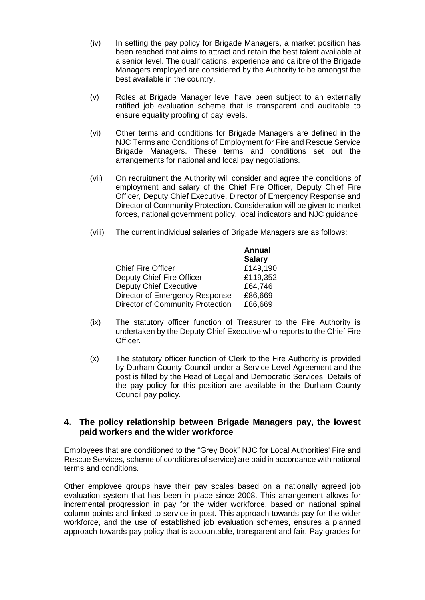- (iv) In setting the pay policy for Brigade Managers, a market position has been reached that aims to attract and retain the best talent available at a senior level. The qualifications, experience and calibre of the Brigade Managers employed are considered by the Authority to be amongst the best available in the country.
- (v) Roles at Brigade Manager level have been subject to an externally ratified job evaluation scheme that is transparent and auditable to ensure equality proofing of pay levels.
- (vi) Other terms and conditions for Brigade Managers are defined in the NJC Terms and Conditions of Employment for Fire and Rescue Service Brigade Managers. These terms and conditions set out the arrangements for national and local pay negotiations.
- (vii) On recruitment the Authority will consider and agree the conditions of employment and salary of the Chief Fire Officer, Deputy Chief Fire Officer, Deputy Chief Executive, Director of Emergency Response and Director of Community Protection. Consideration will be given to market forces, national government policy, local indicators and NJC guidance.
- (viii) The current individual salaries of Brigade Managers are as follows:

|                                         | <b>Annual</b><br><b>Salary</b> |
|-----------------------------------------|--------------------------------|
| <b>Chief Fire Officer</b>               | £149,190                       |
| Deputy Chief Fire Officer               | £119,352                       |
| <b>Deputy Chief Executive</b>           | £64,746                        |
| Director of Emergency Response          | £86,669                        |
| <b>Director of Community Protection</b> | £86,669                        |

- (ix) The statutory officer function of Treasurer to the Fire Authority is undertaken by the Deputy Chief Executive who reports to the Chief Fire **Officer**
- (x) The statutory officer function of Clerk to the Fire Authority is provided by Durham County Council under a Service Level Agreement and the post is filled by the Head of Legal and Democratic Services. Details of the pay policy for this position are available in the Durham County Council pay policy.

## **4. The policy relationship between Brigade Managers pay, the lowest paid workers and the wider workforce**

Employees that are conditioned to the "Grey Book" NJC for Local Authorities' Fire and Rescue Services, scheme of conditions of service) are paid in accordance with national terms and conditions.

Other employee groups have their pay scales based on a nationally agreed job evaluation system that has been in place since 2008. This arrangement allows for incremental progression in pay for the wider workforce, based on national spinal column points and linked to service in post. This approach towards pay for the wider workforce, and the use of established job evaluation schemes, ensures a planned approach towards pay policy that is accountable, transparent and fair. Pay grades for